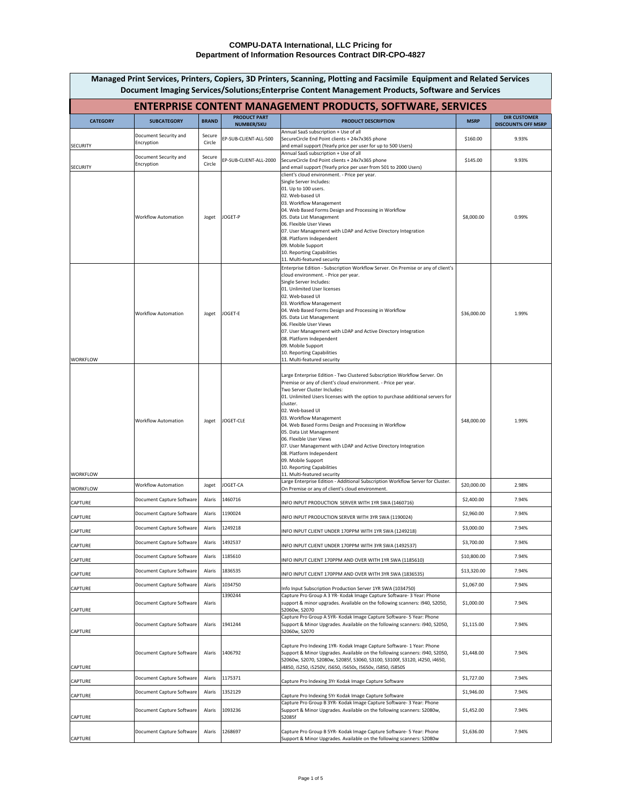| <b>ENTERPRISE CONTENT MANAGEMENT PRODUCTS, SOFTWARE, SERVICES</b> |                                              |                  |                                          |                                                                                                                                                                                                                                                                                                                                                                                                                                                                                                                                                                                                                             |             |                                                  |
|-------------------------------------------------------------------|----------------------------------------------|------------------|------------------------------------------|-----------------------------------------------------------------------------------------------------------------------------------------------------------------------------------------------------------------------------------------------------------------------------------------------------------------------------------------------------------------------------------------------------------------------------------------------------------------------------------------------------------------------------------------------------------------------------------------------------------------------------|-------------|--------------------------------------------------|
| <b>CATEGORY</b>                                                   | <b>SUBCATEGORY</b>                           | <b>BRAND</b>     | <b>PRODUCT PART</b><br><b>NUMBER/SKU</b> | <b>PRODUCT DESCRIPTION</b>                                                                                                                                                                                                                                                                                                                                                                                                                                                                                                                                                                                                  | <b>MSRP</b> | <b>DIR CUSTOMER</b><br><b>DISCOUNT% OFF MSRP</b> |
|                                                                   | Document Security and<br>Encryption          | Secure<br>Circle | EP-SUB-CLIENT-ALL-500                    | Annual SaaS subscription + Use of all<br>SecureCircle End Point clients + 24x7x365 phone                                                                                                                                                                                                                                                                                                                                                                                                                                                                                                                                    | \$160.00    | 9.93%                                            |
| <b>SECURITY</b>                                                   | Document Security and                        | Secure           | EP-SUB-CLIENT-ALL-2000                   | and email support (Yearly price per user for up to 500 Users)<br>Annual SaaS subscription + Use of all<br>SecureCircle End Point clients + 24x7x365 phone                                                                                                                                                                                                                                                                                                                                                                                                                                                                   | \$145.00    | 9.93%                                            |
| <b>SECURITY</b>                                                   | Encryption                                   | Circle           |                                          | and email support (Yearly price per user from 501 to 2000 Users)<br>client's cloud environment. - Price per year.                                                                                                                                                                                                                                                                                                                                                                                                                                                                                                           |             |                                                  |
|                                                                   | <b>Workflow Automation</b>                   | Joget            | JOGET-P                                  | Single Server Includes:<br>01. Up to 100 users.<br>02. Web-based UI<br>03. Workflow Management<br>04. Web Based Forms Design and Processing in Workflow<br>05. Data List Management<br>06. Flexible User Views<br>07. User Management with LDAP and Active Directory Integration<br>08. Platform Independent<br>09. Mobile Support<br>10. Reporting Capabilities<br>11. Multi-featured security                                                                                                                                                                                                                             | \$8,000.00  | 0.99%                                            |
| <b>WORKFLOW</b>                                                   | <b>Workflow Automation</b>                   | Joget            | JOGET-E                                  | Enterprise Edition - Subscription Workflow Server. On Premise or any of client's<br>cloud environment. - Price per year.<br>Single Server Includes:<br>01. Unlimited User licenses<br>02. Web-based UI<br>03. Workflow Management<br>04. Web Based Forms Design and Processing in Workflow<br>05. Data List Management<br>06. Flexible User Views<br>07. User Management with LDAP and Active Directory Integration<br>08. Platform Independent<br>09. Mobile Support<br>10. Reporting Capabilities<br>11. Multi-featured security                                                                                          | \$36,000.00 | 1.99%                                            |
| <b>WORKFLOW</b>                                                   | <b>Workflow Automation</b>                   | Joget            | JOGET-CLE                                | Large Enterprise Edition - Two Clustered Subscription Workflow Server. On<br>Premise or any of client's cloud environment. - Price per year.<br>Two Server Cluster Includes:<br>01. Unlimited Users licenses with the option to purchase additional servers for<br>cluster.<br>02. Web-based UI<br>03. Workflow Management<br>04. Web Based Forms Design and Processing in Workflow<br>05. Data List Management<br>06. Flexible User Views<br>07. User Management with LDAP and Active Directory Integration<br>08. Platform Independent<br>09. Mobile Support<br>10. Reporting Capabilities<br>11. Multi-featured security | \$48,000.00 | 1.99%                                            |
| <b>WORKFLOW</b>                                                   | <b>Workflow Automation</b>                   | Joget            | JOGET-CA                                 | Large Enterprise Edition - Additional Subscription Workflow Server for Cluster.<br>On Premise or any of client's cloud environment.                                                                                                                                                                                                                                                                                                                                                                                                                                                                                         | \$20,000.00 | 2.98%                                            |
| <b>CAPTURE</b>                                                    | Document Capture Software                    | Alaris           | 1460716                                  | INFO INPUT PRODUCTION SERVER WITH 1YR SWA (1460716)                                                                                                                                                                                                                                                                                                                                                                                                                                                                                                                                                                         | \$2,400.00  | 7.94%                                            |
| <b>CAPTURE</b>                                                    | Document Capture Software   Alaris   1190024 |                  |                                          | INFO INPUT PRODUCTION SERVER WITH 3YR SWA (1190024)                                                                                                                                                                                                                                                                                                                                                                                                                                                                                                                                                                         | \$2,960.00  | 7.94%                                            |
| <b>CAPTURE</b>                                                    | Document Capture Software                    | Alaris           | 1249218                                  | INFO INPUT CLIENT UNDER 170PPM WITH 1YR SWA (1249218)                                                                                                                                                                                                                                                                                                                                                                                                                                                                                                                                                                       | \$3,000.00  | 7.94%                                            |
| <b>CAPTURE</b>                                                    | Document Capture Software                    | Alaris           | 1492537                                  | INFO INPUT CLIENT UNDER 170PPM WITH 3YR SWA (1492537)                                                                                                                                                                                                                                                                                                                                                                                                                                                                                                                                                                       | \$3,700.00  | 7.94%                                            |
| <b>CAPTURE</b>                                                    | Document Capture Software                    | Alaris           | 1185610                                  | INFO INPUT CLIENT 170PPM AND OVER WITH 1YR SWA (1185610)                                                                                                                                                                                                                                                                                                                                                                                                                                                                                                                                                                    | \$10,800.00 | 7.94%                                            |
| <b>CAPTURE</b>                                                    | Document Capture Software                    | Alaris           | 1836535                                  | INFO INPUT CLIENT 170PPM AND OVER WITH 3YR SWA (1836535)                                                                                                                                                                                                                                                                                                                                                                                                                                                                                                                                                                    | \$13,320.00 | 7.94%                                            |
| <b>CAPTURE</b>                                                    | Document Capture Software                    | Alaris           | 1034750<br>1390244                       | Info Input Subscription Production Server 1YR SWA (1034750)<br>Capture Pro Group A 3 YR- Kodak Image Capture Software- 3 Year: Phone                                                                                                                                                                                                                                                                                                                                                                                                                                                                                        | \$1,067.00  | 7.94%                                            |
| <b>CAPTURE</b>                                                    | Document Capture Software                    | Alaris           |                                          | support & minor upgrades. Available on the following scanners: i940, S2050,<br>S2060w, S2070                                                                                                                                                                                                                                                                                                                                                                                                                                                                                                                                | \$1,000.00  | 7.94%                                            |
| <b>CAPTURE</b>                                                    | Document Capture Software                    | Alaris           | 1941244                                  | Capture Pro Group A 5YR- Kodak Image Capture Software- 5 Year: Phone<br>Support & Minor Upgrades. Available on the following scanners: i940, S2050,<br>S2060w, S2070                                                                                                                                                                                                                                                                                                                                                                                                                                                        | \$1,115.00  | 7.94%                                            |
| <b>CAPTURE</b>                                                    | Document Capture Software                    | Alaris           | 1406792                                  | Capture Pro Indexing 1YR- Kodak Image Capture Software- 1 Year: Phone<br>Support & Minor Upgrades. Available on the following scanners: i940, S2050,<br>S2060w, S2070, S2080w, S2085f, S3060, S3100, S3100f, S3120, i4250, i4650,<br>i4850, i5250, i5250V, i5650, i5650s, I5650v, i5850, i5850S                                                                                                                                                                                                                                                                                                                             | \$1,448.00  | 7.94%                                            |
| <b>CAPTURE</b>                                                    | Document Capture Software                    | Alaris           | 1175371                                  | Capture Pro Indexing 3Yr Kodak Image Capture Software                                                                                                                                                                                                                                                                                                                                                                                                                                                                                                                                                                       | \$1,727.00  | 7.94%                                            |
| <b>CAPTURE</b>                                                    | Document Capture Software                    | Alaris           | 1352129                                  | Capture Pro Indexing 5Yr Kodak Image Capture Software<br>Capture Pro Group B 3YR- Kodak Image Capture Software- 3 Year: Phone                                                                                                                                                                                                                                                                                                                                                                                                                                                                                               | \$1,946.00  | 7.94%                                            |
| <b>CAPTURE</b>                                                    | Document Capture Software                    | Alaris           | 1093236                                  | Support & Minor Upgrades. Available on the following scanners: S2080w,<br>S2085f                                                                                                                                                                                                                                                                                                                                                                                                                                                                                                                                            | \$1,452.00  | 7.94%                                            |
| <b>CAPTURE</b>                                                    | Document Capture Software                    |                  | Alaris 1268697                           | Capture Pro Group B 5YR- Kodak Image Capture Software- 5 Year: Phone<br>Support & Minor Upgrades. Available on the following scanners: S2080w                                                                                                                                                                                                                                                                                                                                                                                                                                                                               | \$1,636.00  | 7.94%                                            |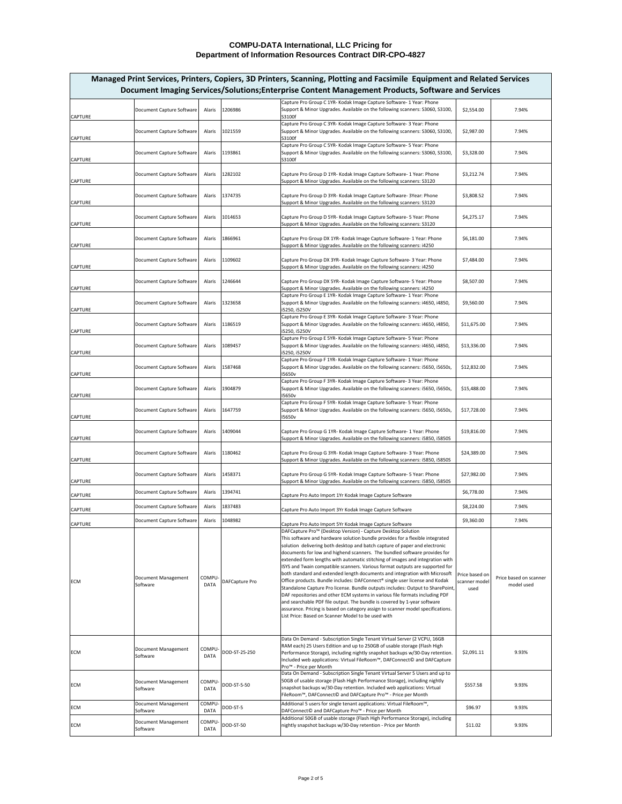| Capture Pro Group C 1YR- Kodak Image Capture Software- 1 Year: Phone<br>Support & Minor Upgrades. Available on the following scanners: S3060, S3100,<br>Document Capture Software<br>1206986<br>\$2,554.00<br>7.94%<br>Alaris<br>S3100f<br>Capture Pro Group C 3YR- Kodak Image Capture Software- 3 Year: Phone<br>Support & Minor Upgrades. Available on the following scanners: S3060, S3100,<br>Document Capture Software<br>1021559<br>\$2,987.00<br>7.94%<br>Alaris<br>S3100f<br>Capture Pro Group C 5YR- Kodak Image Capture Software- 5 Year: Phone<br>1193861<br>Support & Minor Upgrades. Available on the following scanners: S3060, S3100,<br>\$3,328.00<br>Document Capture Software<br>Alaris<br>7.94%<br><b>CAPTURE</b><br>S3100f<br>Capture Pro Group D 1YR- Kodak Image Capture Software- 1 Year: Phone<br>1282102<br>\$3,212.74<br>7.94%<br>Document Capture Software<br>Alaris<br><b>CAPTURE</b><br>Support & Minor Upgrades. Available on the following scanners: S3120<br>Capture Pro Group D 3YR- Kodak Image Capture Software-3Year: Phone<br>Document Capture Software<br>1374735<br>\$3,808.52<br>7.94%<br>Alaris<br><b>CAPTURE</b><br>Support & Minor Upgrades. Available on the following scanners: S3120<br>Capture Pro Group D 5YR- Kodak Image Capture Software- 5 Year: Phone<br>1014653<br>\$4,275.17<br>7.94%<br>Document Capture Software<br>Alaris<br><b>CAPTURE</b><br>Support & Minor Upgrades. Available on the following scanners: S3120<br>Capture Pro Group DX 1YR- Kodak Image Capture Software- 1 Year: Phone<br>1866961<br>\$6,181.00<br>Document Capture Software<br>Alaris<br>7.94%<br><b>CAPTURE</b><br>Support & Minor Upgrades. Available on the following scanners: i4250<br>Capture Pro Group DX 3YR- Kodak Image Capture Software- 3 Year: Phone<br>Document Capture Software<br>1109602<br>7.94%<br>\$7,484.00<br>Alaris<br><b>CAPTURE</b><br>Support & Minor Upgrades. Available on the following scanners: i4250<br>Capture Pro Group DX 5YR- Kodak Image Capture Software- 5 Year: Phone<br>Document Capture Software<br>1246644<br>\$8,507.00<br>7.94%<br>Alaris<br><b>CAPTURE</b><br>Support & Minor Upgrades. Available on the following scanners: i4250<br>Capture Pro Group E 1YR- Kodak Image Capture Software- 1 Year: Phone<br>Support & Minor Upgrades. Available on the following scanners: i4650, i4850,<br>\$9,560.00<br>Document Capture Software<br>1323658<br>7.94%<br>Alaris<br><b>CAPTURE</b><br>i5250, i5250V<br>Capture Pro Group E 3YR- Kodak Image Capture Software- 3 Year: Phone<br>Document Capture Software<br>1186519<br>Support & Minor Upgrades. Available on the following scanners: i4650, i4850,<br>\$11,675.00<br>7.94%<br>Alaris<br><b>CAPTURE</b><br>i5250, i5250V<br>Capture Pro Group E 5YR- Kodak Image Capture Software- 5 Year: Phone<br>Support & Minor Upgrades. Available on the following scanners: i4650, i4850,<br>Document Capture Software<br>1089457<br>\$13,336.00<br>7.94%<br>Alaris<br><b>CAPTURE</b><br>i5250, i5250V<br>Capture Pro Group F 1YR- Kodak Image Capture Software- 1 Year: Phone<br>Support & Minor Upgrades. Available on the following scanners: i5650, i5650s,<br>1587468<br>\$12,832.00<br>Document Capture Software<br>7.94%<br>Alaris<br><b>CAPTURE</b><br><b>I5650v</b><br>Capture Pro Group F 3YR- Kodak Image Capture Software- 3 Year: Phone<br>Document Capture Software<br>1904879<br>Support & Minor Upgrades. Available on the following scanners: i5650, i5650s,<br>7.94%<br>\$15,488.00<br>Alaris<br><b>CAPTURE</b><br>I5650v<br>Capture Pro Group F 5YR- Kodak Image Capture Software- 5 Year: Phone<br>Support & Minor Upgrades. Available on the following scanners: i5650, i5650s,<br>1647759<br>\$17,728.00<br>7.94%<br>Document Capture Software<br>Alaris<br><b>CAPTURE</b><br><b>I5650v</b><br>Capture Pro Group G 1YR- Kodak Image Capture Software- 1 Year: Phone<br>1409044<br>\$19,816.00<br>Document Capture Software<br>7.94%<br>Alaris<br><b>CAPTURE</b><br>Support & Minor Upgrades. Available on the following scanners: i5850, i5850S<br>Capture Pro Group G 3YR- Kodak Image Capture Software- 3 Year: Phone<br>Document Capture Software<br>1180462<br>\$24,389.00<br>7.94%<br>Alaris<br><b>CAPTURE</b><br>Support & Minor Upgrades. Available on the following scanners: i5850, i5850S<br>Capture Pro Group G 5YR- Kodak Image Capture Software- 5 Year: Phone<br>1458371<br>\$27,982.00<br>7.94%<br>Document Capture Software<br>Alaris<br><b>CAPTURE</b><br>Support & Minor Upgrades. Available on the following scanners: i5850, i5850S<br>1394741<br>\$6,778.00<br>Document Capture Software<br>Alaris<br>7.94%<br><b>CAPTURE</b><br>Capture Pro Auto Import 1Yr Kodak Image Capture Software<br>1837483<br>\$8,224.00<br>Document Capture Software<br>Alaris<br>7.94%<br><b>CAPTURE</b><br>Capture Pro Auto Import 3Yr Kodak Image Capture Software<br>\$9,360.00<br><b>Document Capture Software</b><br>1048982<br>7.94%<br>Alaris<br><b>CAPTURE</b><br>Capture Pro Auto Import 5Yr Kodak Image Capture Software<br>DAFCapture Pro <sup>™</sup> (Desktop Version) - Capture Desktop Solution<br>This software and hardware solution bundle provides for a flexible integrated<br>solution delivering both desktop and batch capture of paper and electronic<br>documents for low and highend scanners. The bundled software provides for<br>extended form lengths with automatic stitching of images and integration with<br>ISYS and Twain compatible scanners. Various format outputs are supported for<br>both standard and extended length documents and integration with Microsoft<br>Price based on<br>Document Management<br>COMPU-<br>Price based on scanner<br>Office products. Bundle includes: DAFConnect® single user license and Kodak<br>DAFCapture Pro<br><b>ECM</b><br>scanner model<br><b>DATA</b><br>Software<br>model used<br>Standalone Capture Pro license. Bundle outputs includes: Output to SharePoint,<br>used<br>DAF repositories and other ECM systems in various file formats including PDF<br>and searchable PDF file output. The bundle is covered by 1-year software<br>assurance. Pricing is based on category assign to scanner model specifications.<br>List Price: Based on Scanner Model to be used with<br>Data On Demand - Subscription Single Tenant Virtual Server (2 VCPU, 16GB<br>RAM each) 25 Users Edition and up to 250GB of usable storage (Flash High<br>Document Management<br>COMPU-<br>DOD-ST-25-250<br><b>ECM</b><br>\$2,091.11<br>9.93%<br>Performance Storage), including nightly snapshot backups w/30-Day retention.<br><b>DATA</b><br>Software<br>Included web applications: Virtual FileRoom™, DAFConnect© and DAFCapture<br>Pro <sup>™</sup> - Price per Month<br>Data On Demand - Subscription Single Tenant Virtual Server 5 Users and up to<br>50GB of usable storage (Flash High Performance Storage), including nightly<br>Document Management<br>COMPU-<br>DOD-ST-5-50<br><b>ECM</b><br>\$557.58<br>9.93%<br>snapshot backups w/30-Day retention. Included web applications: Virtual<br>Software<br><b>DATA</b><br>FileRoom <sup>™</sup> , DAFConnect© and DAFCapture Pro™ - Price per Month<br>COMPU-<br>Additional 5 users for single tenant applications: Virtual FileRoom™,<br>Document Management<br><b>ECM</b><br>DOD-ST-5<br>\$96.97<br>9.93%<br><b>DATA</b><br>DAFConnect© and DAFCapture Pro <sup>™</sup> - Price per Month<br>Software<br>Additional 50GB of usable storage (Flash High Performance Storage), including<br><b>Document Management</b><br><b>COMPU</b><br>nightly snapshot backups w/30-Day retention - Price per Month<br><b>ECM</b><br>DOD-ST-50<br>\$11.02<br>9.93%<br><b>DATA</b><br>Software |                |  | Managed Print Services, Printers, Copiers, 3D Printers, Scanning, Plotting and Facsimile Equipment and Related Services<br>Document Imaging Services/Solutions; Enterprise Content Management Products, Software and Services |  |
|---------------------------------------------------------------------------------------------------------------------------------------------------------------------------------------------------------------------------------------------------------------------------------------------------------------------------------------------------------------------------------------------------------------------------------------------------------------------------------------------------------------------------------------------------------------------------------------------------------------------------------------------------------------------------------------------------------------------------------------------------------------------------------------------------------------------------------------------------------------------------------------------------------------------------------------------------------------------------------------------------------------------------------------------------------------------------------------------------------------------------------------------------------------------------------------------------------------------------------------------------------------------------------------------------------------------------------------------------------------------------------------------------------------------------------------------------------------------------------------------------------------------------------------------------------------------------------------------------------------------------------------------------------------------------------------------------------------------------------------------------------------------------------------------------------------------------------------------------------------------------------------------------------------------------------------------------------------------------------------------------------------------------------------------------------------------------------------------------------------------------------------------------------------------------------------------------------------------------------------------------------------------------------------------------------------------------------------------------------------------------------------------------------------------------------------------------------------------------------------------------------------------------------------------------------------------------------------------------------------------------------------------------------------------------------------------------------------------------------------------------------------------------------------------------------------------------------------------------------------------------------------------------------------------------------------------------------------------------------------------------------------------------------------------------------------------------------------------------------------------------------------------------------------------------------------------------------------------------------------------------------------------------------------------------------------------------------------------------------------------------------------------------------------------------------------------------------------------------------------------------------------------------------------------------------------------------------------------------------------------------------------------------------------------------------------------------------------------------------------------------------------------------------------------------------------------------------------------------------------------------------------------------------------------------------------------------------------------------------------------------------------------------------------------------------------------------------------------------------------------------------------------------------------------------------------------------------------------------------------------------------------------------------------------------------------------------------------------------------------------------------------------------------------------------------------------------------------------------------------------------------------------------------------------------------------------------------------------------------------------------------------------------------------------------------------------------------------------------------------------------------------------------------------------------------------------------------------------------------------------------------------------------------------------------------------------------------------------------------------------------------------------------------------------------------------------------------------------------------------------------------------------------------------------------------------------------------------------------------------------------------------------------------------------------------------------------------------------------------------------------------------------------------------------------------------------------------------------------------------------------------------------------------------------------------------------------------------------------------------------------------------------------------------------------------------------------------------------------------------------------------------------------------------------------------------------------------------------------------------------------------------------------------------------------------------------------------------------------------------------------------------------------------------------------------------------------------------------------------------------------------------------------------------------------------------------------------------------------------------------------------------------------------------------------------------------------------------------------------------------------------------------------------------------------------------------------------------------------------------------------------------------------------------------------------------------------------------------------------------------------------------------------------------------------------------------------------------------------------------------------------------------------------------------------------------------------------------------------------------------------------------------------------------------------------------------------------------------------------------------------------------------------------------------------------------------------------------------------------------------------------------------------------------------------------------------------------------------------------------------------------------------------------------------------------------------------------------------------------------------------------------------------------------------------------------------------------------------------------------------------------------------------------------------------------------------------------------------------------------------------------------------------------------------------------------------------------------------------------------------------------------|----------------|--|-------------------------------------------------------------------------------------------------------------------------------------------------------------------------------------------------------------------------------|--|
|                                                                                                                                                                                                                                                                                                                                                                                                                                                                                                                                                                                                                                                                                                                                                                                                                                                                                                                                                                                                                                                                                                                                                                                                                                                                                                                                                                                                                                                                                                                                                                                                                                                                                                                                                                                                                                                                                                                                                                                                                                                                                                                                                                                                                                                                                                                                                                                                                                                                                                                                                                                                                                                                                                                                                                                                                                                                                                                                                                                                                                                                                                                                                                                                                                                                                                                                                                                                                                                                                                                                                                                                                                                                                                                                                                                                                                                                                                                                                                                                                                                                                                                                                                                                                                                                                                                                                                                                                                                                                                                                                                                                                                                                                                                                                                                                                                                                                                                                                                                                                                                                                                                                                                                                                                                                                                                                                                                                                                                                                                                                                                                                                                                                                                                                                                                                                                                                                                                                                                                                                                                                                                                                                                                                                                                                                                                                                                                                                                                                                                                                                                                                                                                                                                                                                                                                                                                                                                                                                                                                                                                                                                                                                                                                                                                                                                                                                                                                                                                                                                                                                                                                                                                                                                                                                               | <b>CAPTURE</b> |  |                                                                                                                                                                                                                               |  |
|                                                                                                                                                                                                                                                                                                                                                                                                                                                                                                                                                                                                                                                                                                                                                                                                                                                                                                                                                                                                                                                                                                                                                                                                                                                                                                                                                                                                                                                                                                                                                                                                                                                                                                                                                                                                                                                                                                                                                                                                                                                                                                                                                                                                                                                                                                                                                                                                                                                                                                                                                                                                                                                                                                                                                                                                                                                                                                                                                                                                                                                                                                                                                                                                                                                                                                                                                                                                                                                                                                                                                                                                                                                                                                                                                                                                                                                                                                                                                                                                                                                                                                                                                                                                                                                                                                                                                                                                                                                                                                                                                                                                                                                                                                                                                                                                                                                                                                                                                                                                                                                                                                                                                                                                                                                                                                                                                                                                                                                                                                                                                                                                                                                                                                                                                                                                                                                                                                                                                                                                                                                                                                                                                                                                                                                                                                                                                                                                                                                                                                                                                                                                                                                                                                                                                                                                                                                                                                                                                                                                                                                                                                                                                                                                                                                                                                                                                                                                                                                                                                                                                                                                                                                                                                                                                               | <b>CAPTURE</b> |  |                                                                                                                                                                                                                               |  |
|                                                                                                                                                                                                                                                                                                                                                                                                                                                                                                                                                                                                                                                                                                                                                                                                                                                                                                                                                                                                                                                                                                                                                                                                                                                                                                                                                                                                                                                                                                                                                                                                                                                                                                                                                                                                                                                                                                                                                                                                                                                                                                                                                                                                                                                                                                                                                                                                                                                                                                                                                                                                                                                                                                                                                                                                                                                                                                                                                                                                                                                                                                                                                                                                                                                                                                                                                                                                                                                                                                                                                                                                                                                                                                                                                                                                                                                                                                                                                                                                                                                                                                                                                                                                                                                                                                                                                                                                                                                                                                                                                                                                                                                                                                                                                                                                                                                                                                                                                                                                                                                                                                                                                                                                                                                                                                                                                                                                                                                                                                                                                                                                                                                                                                                                                                                                                                                                                                                                                                                                                                                                                                                                                                                                                                                                                                                                                                                                                                                                                                                                                                                                                                                                                                                                                                                                                                                                                                                                                                                                                                                                                                                                                                                                                                                                                                                                                                                                                                                                                                                                                                                                                                                                                                                                                               |                |  |                                                                                                                                                                                                                               |  |
|                                                                                                                                                                                                                                                                                                                                                                                                                                                                                                                                                                                                                                                                                                                                                                                                                                                                                                                                                                                                                                                                                                                                                                                                                                                                                                                                                                                                                                                                                                                                                                                                                                                                                                                                                                                                                                                                                                                                                                                                                                                                                                                                                                                                                                                                                                                                                                                                                                                                                                                                                                                                                                                                                                                                                                                                                                                                                                                                                                                                                                                                                                                                                                                                                                                                                                                                                                                                                                                                                                                                                                                                                                                                                                                                                                                                                                                                                                                                                                                                                                                                                                                                                                                                                                                                                                                                                                                                                                                                                                                                                                                                                                                                                                                                                                                                                                                                                                                                                                                                                                                                                                                                                                                                                                                                                                                                                                                                                                                                                                                                                                                                                                                                                                                                                                                                                                                                                                                                                                                                                                                                                                                                                                                                                                                                                                                                                                                                                                                                                                                                                                                                                                                                                                                                                                                                                                                                                                                                                                                                                                                                                                                                                                                                                                                                                                                                                                                                                                                                                                                                                                                                                                                                                                                                                               |                |  |                                                                                                                                                                                                                               |  |
|                                                                                                                                                                                                                                                                                                                                                                                                                                                                                                                                                                                                                                                                                                                                                                                                                                                                                                                                                                                                                                                                                                                                                                                                                                                                                                                                                                                                                                                                                                                                                                                                                                                                                                                                                                                                                                                                                                                                                                                                                                                                                                                                                                                                                                                                                                                                                                                                                                                                                                                                                                                                                                                                                                                                                                                                                                                                                                                                                                                                                                                                                                                                                                                                                                                                                                                                                                                                                                                                                                                                                                                                                                                                                                                                                                                                                                                                                                                                                                                                                                                                                                                                                                                                                                                                                                                                                                                                                                                                                                                                                                                                                                                                                                                                                                                                                                                                                                                                                                                                                                                                                                                                                                                                                                                                                                                                                                                                                                                                                                                                                                                                                                                                                                                                                                                                                                                                                                                                                                                                                                                                                                                                                                                                                                                                                                                                                                                                                                                                                                                                                                                                                                                                                                                                                                                                                                                                                                                                                                                                                                                                                                                                                                                                                                                                                                                                                                                                                                                                                                                                                                                                                                                                                                                                                               |                |  |                                                                                                                                                                                                                               |  |
|                                                                                                                                                                                                                                                                                                                                                                                                                                                                                                                                                                                                                                                                                                                                                                                                                                                                                                                                                                                                                                                                                                                                                                                                                                                                                                                                                                                                                                                                                                                                                                                                                                                                                                                                                                                                                                                                                                                                                                                                                                                                                                                                                                                                                                                                                                                                                                                                                                                                                                                                                                                                                                                                                                                                                                                                                                                                                                                                                                                                                                                                                                                                                                                                                                                                                                                                                                                                                                                                                                                                                                                                                                                                                                                                                                                                                                                                                                                                                                                                                                                                                                                                                                                                                                                                                                                                                                                                                                                                                                                                                                                                                                                                                                                                                                                                                                                                                                                                                                                                                                                                                                                                                                                                                                                                                                                                                                                                                                                                                                                                                                                                                                                                                                                                                                                                                                                                                                                                                                                                                                                                                                                                                                                                                                                                                                                                                                                                                                                                                                                                                                                                                                                                                                                                                                                                                                                                                                                                                                                                                                                                                                                                                                                                                                                                                                                                                                                                                                                                                                                                                                                                                                                                                                                                                               |                |  |                                                                                                                                                                                                                               |  |
|                                                                                                                                                                                                                                                                                                                                                                                                                                                                                                                                                                                                                                                                                                                                                                                                                                                                                                                                                                                                                                                                                                                                                                                                                                                                                                                                                                                                                                                                                                                                                                                                                                                                                                                                                                                                                                                                                                                                                                                                                                                                                                                                                                                                                                                                                                                                                                                                                                                                                                                                                                                                                                                                                                                                                                                                                                                                                                                                                                                                                                                                                                                                                                                                                                                                                                                                                                                                                                                                                                                                                                                                                                                                                                                                                                                                                                                                                                                                                                                                                                                                                                                                                                                                                                                                                                                                                                                                                                                                                                                                                                                                                                                                                                                                                                                                                                                                                                                                                                                                                                                                                                                                                                                                                                                                                                                                                                                                                                                                                                                                                                                                                                                                                                                                                                                                                                                                                                                                                                                                                                                                                                                                                                                                                                                                                                                                                                                                                                                                                                                                                                                                                                                                                                                                                                                                                                                                                                                                                                                                                                                                                                                                                                                                                                                                                                                                                                                                                                                                                                                                                                                                                                                                                                                                                               |                |  |                                                                                                                                                                                                                               |  |
|                                                                                                                                                                                                                                                                                                                                                                                                                                                                                                                                                                                                                                                                                                                                                                                                                                                                                                                                                                                                                                                                                                                                                                                                                                                                                                                                                                                                                                                                                                                                                                                                                                                                                                                                                                                                                                                                                                                                                                                                                                                                                                                                                                                                                                                                                                                                                                                                                                                                                                                                                                                                                                                                                                                                                                                                                                                                                                                                                                                                                                                                                                                                                                                                                                                                                                                                                                                                                                                                                                                                                                                                                                                                                                                                                                                                                                                                                                                                                                                                                                                                                                                                                                                                                                                                                                                                                                                                                                                                                                                                                                                                                                                                                                                                                                                                                                                                                                                                                                                                                                                                                                                                                                                                                                                                                                                                                                                                                                                                                                                                                                                                                                                                                                                                                                                                                                                                                                                                                                                                                                                                                                                                                                                                                                                                                                                                                                                                                                                                                                                                                                                                                                                                                                                                                                                                                                                                                                                                                                                                                                                                                                                                                                                                                                                                                                                                                                                                                                                                                                                                                                                                                                                                                                                                                               |                |  |                                                                                                                                                                                                                               |  |
|                                                                                                                                                                                                                                                                                                                                                                                                                                                                                                                                                                                                                                                                                                                                                                                                                                                                                                                                                                                                                                                                                                                                                                                                                                                                                                                                                                                                                                                                                                                                                                                                                                                                                                                                                                                                                                                                                                                                                                                                                                                                                                                                                                                                                                                                                                                                                                                                                                                                                                                                                                                                                                                                                                                                                                                                                                                                                                                                                                                                                                                                                                                                                                                                                                                                                                                                                                                                                                                                                                                                                                                                                                                                                                                                                                                                                                                                                                                                                                                                                                                                                                                                                                                                                                                                                                                                                                                                                                                                                                                                                                                                                                                                                                                                                                                                                                                                                                                                                                                                                                                                                                                                                                                                                                                                                                                                                                                                                                                                                                                                                                                                                                                                                                                                                                                                                                                                                                                                                                                                                                                                                                                                                                                                                                                                                                                                                                                                                                                                                                                                                                                                                                                                                                                                                                                                                                                                                                                                                                                                                                                                                                                                                                                                                                                                                                                                                                                                                                                                                                                                                                                                                                                                                                                                                               |                |  |                                                                                                                                                                                                                               |  |
|                                                                                                                                                                                                                                                                                                                                                                                                                                                                                                                                                                                                                                                                                                                                                                                                                                                                                                                                                                                                                                                                                                                                                                                                                                                                                                                                                                                                                                                                                                                                                                                                                                                                                                                                                                                                                                                                                                                                                                                                                                                                                                                                                                                                                                                                                                                                                                                                                                                                                                                                                                                                                                                                                                                                                                                                                                                                                                                                                                                                                                                                                                                                                                                                                                                                                                                                                                                                                                                                                                                                                                                                                                                                                                                                                                                                                                                                                                                                                                                                                                                                                                                                                                                                                                                                                                                                                                                                                                                                                                                                                                                                                                                                                                                                                                                                                                                                                                                                                                                                                                                                                                                                                                                                                                                                                                                                                                                                                                                                                                                                                                                                                                                                                                                                                                                                                                                                                                                                                                                                                                                                                                                                                                                                                                                                                                                                                                                                                                                                                                                                                                                                                                                                                                                                                                                                                                                                                                                                                                                                                                                                                                                                                                                                                                                                                                                                                                                                                                                                                                                                                                                                                                                                                                                                                               |                |  |                                                                                                                                                                                                                               |  |
|                                                                                                                                                                                                                                                                                                                                                                                                                                                                                                                                                                                                                                                                                                                                                                                                                                                                                                                                                                                                                                                                                                                                                                                                                                                                                                                                                                                                                                                                                                                                                                                                                                                                                                                                                                                                                                                                                                                                                                                                                                                                                                                                                                                                                                                                                                                                                                                                                                                                                                                                                                                                                                                                                                                                                                                                                                                                                                                                                                                                                                                                                                                                                                                                                                                                                                                                                                                                                                                                                                                                                                                                                                                                                                                                                                                                                                                                                                                                                                                                                                                                                                                                                                                                                                                                                                                                                                                                                                                                                                                                                                                                                                                                                                                                                                                                                                                                                                                                                                                                                                                                                                                                                                                                                                                                                                                                                                                                                                                                                                                                                                                                                                                                                                                                                                                                                                                                                                                                                                                                                                                                                                                                                                                                                                                                                                                                                                                                                                                                                                                                                                                                                                                                                                                                                                                                                                                                                                                                                                                                                                                                                                                                                                                                                                                                                                                                                                                                                                                                                                                                                                                                                                                                                                                                                               |                |  |                                                                                                                                                                                                                               |  |
|                                                                                                                                                                                                                                                                                                                                                                                                                                                                                                                                                                                                                                                                                                                                                                                                                                                                                                                                                                                                                                                                                                                                                                                                                                                                                                                                                                                                                                                                                                                                                                                                                                                                                                                                                                                                                                                                                                                                                                                                                                                                                                                                                                                                                                                                                                                                                                                                                                                                                                                                                                                                                                                                                                                                                                                                                                                                                                                                                                                                                                                                                                                                                                                                                                                                                                                                                                                                                                                                                                                                                                                                                                                                                                                                                                                                                                                                                                                                                                                                                                                                                                                                                                                                                                                                                                                                                                                                                                                                                                                                                                                                                                                                                                                                                                                                                                                                                                                                                                                                                                                                                                                                                                                                                                                                                                                                                                                                                                                                                                                                                                                                                                                                                                                                                                                                                                                                                                                                                                                                                                                                                                                                                                                                                                                                                                                                                                                                                                                                                                                                                                                                                                                                                                                                                                                                                                                                                                                                                                                                                                                                                                                                                                                                                                                                                                                                                                                                                                                                                                                                                                                                                                                                                                                                                               |                |  |                                                                                                                                                                                                                               |  |
|                                                                                                                                                                                                                                                                                                                                                                                                                                                                                                                                                                                                                                                                                                                                                                                                                                                                                                                                                                                                                                                                                                                                                                                                                                                                                                                                                                                                                                                                                                                                                                                                                                                                                                                                                                                                                                                                                                                                                                                                                                                                                                                                                                                                                                                                                                                                                                                                                                                                                                                                                                                                                                                                                                                                                                                                                                                                                                                                                                                                                                                                                                                                                                                                                                                                                                                                                                                                                                                                                                                                                                                                                                                                                                                                                                                                                                                                                                                                                                                                                                                                                                                                                                                                                                                                                                                                                                                                                                                                                                                                                                                                                                                                                                                                                                                                                                                                                                                                                                                                                                                                                                                                                                                                                                                                                                                                                                                                                                                                                                                                                                                                                                                                                                                                                                                                                                                                                                                                                                                                                                                                                                                                                                                                                                                                                                                                                                                                                                                                                                                                                                                                                                                                                                                                                                                                                                                                                                                                                                                                                                                                                                                                                                                                                                                                                                                                                                                                                                                                                                                                                                                                                                                                                                                                                               |                |  |                                                                                                                                                                                                                               |  |
|                                                                                                                                                                                                                                                                                                                                                                                                                                                                                                                                                                                                                                                                                                                                                                                                                                                                                                                                                                                                                                                                                                                                                                                                                                                                                                                                                                                                                                                                                                                                                                                                                                                                                                                                                                                                                                                                                                                                                                                                                                                                                                                                                                                                                                                                                                                                                                                                                                                                                                                                                                                                                                                                                                                                                                                                                                                                                                                                                                                                                                                                                                                                                                                                                                                                                                                                                                                                                                                                                                                                                                                                                                                                                                                                                                                                                                                                                                                                                                                                                                                                                                                                                                                                                                                                                                                                                                                                                                                                                                                                                                                                                                                                                                                                                                                                                                                                                                                                                                                                                                                                                                                                                                                                                                                                                                                                                                                                                                                                                                                                                                                                                                                                                                                                                                                                                                                                                                                                                                                                                                                                                                                                                                                                                                                                                                                                                                                                                                                                                                                                                                                                                                                                                                                                                                                                                                                                                                                                                                                                                                                                                                                                                                                                                                                                                                                                                                                                                                                                                                                                                                                                                                                                                                                                                               |                |  |                                                                                                                                                                                                                               |  |
|                                                                                                                                                                                                                                                                                                                                                                                                                                                                                                                                                                                                                                                                                                                                                                                                                                                                                                                                                                                                                                                                                                                                                                                                                                                                                                                                                                                                                                                                                                                                                                                                                                                                                                                                                                                                                                                                                                                                                                                                                                                                                                                                                                                                                                                                                                                                                                                                                                                                                                                                                                                                                                                                                                                                                                                                                                                                                                                                                                                                                                                                                                                                                                                                                                                                                                                                                                                                                                                                                                                                                                                                                                                                                                                                                                                                                                                                                                                                                                                                                                                                                                                                                                                                                                                                                                                                                                                                                                                                                                                                                                                                                                                                                                                                                                                                                                                                                                                                                                                                                                                                                                                                                                                                                                                                                                                                                                                                                                                                                                                                                                                                                                                                                                                                                                                                                                                                                                                                                                                                                                                                                                                                                                                                                                                                                                                                                                                                                                                                                                                                                                                                                                                                                                                                                                                                                                                                                                                                                                                                                                                                                                                                                                                                                                                                                                                                                                                                                                                                                                                                                                                                                                                                                                                                                               |                |  |                                                                                                                                                                                                                               |  |
|                                                                                                                                                                                                                                                                                                                                                                                                                                                                                                                                                                                                                                                                                                                                                                                                                                                                                                                                                                                                                                                                                                                                                                                                                                                                                                                                                                                                                                                                                                                                                                                                                                                                                                                                                                                                                                                                                                                                                                                                                                                                                                                                                                                                                                                                                                                                                                                                                                                                                                                                                                                                                                                                                                                                                                                                                                                                                                                                                                                                                                                                                                                                                                                                                                                                                                                                                                                                                                                                                                                                                                                                                                                                                                                                                                                                                                                                                                                                                                                                                                                                                                                                                                                                                                                                                                                                                                                                                                                                                                                                                                                                                                                                                                                                                                                                                                                                                                                                                                                                                                                                                                                                                                                                                                                                                                                                                                                                                                                                                                                                                                                                                                                                                                                                                                                                                                                                                                                                                                                                                                                                                                                                                                                                                                                                                                                                                                                                                                                                                                                                                                                                                                                                                                                                                                                                                                                                                                                                                                                                                                                                                                                                                                                                                                                                                                                                                                                                                                                                                                                                                                                                                                                                                                                                                               |                |  |                                                                                                                                                                                                                               |  |
|                                                                                                                                                                                                                                                                                                                                                                                                                                                                                                                                                                                                                                                                                                                                                                                                                                                                                                                                                                                                                                                                                                                                                                                                                                                                                                                                                                                                                                                                                                                                                                                                                                                                                                                                                                                                                                                                                                                                                                                                                                                                                                                                                                                                                                                                                                                                                                                                                                                                                                                                                                                                                                                                                                                                                                                                                                                                                                                                                                                                                                                                                                                                                                                                                                                                                                                                                                                                                                                                                                                                                                                                                                                                                                                                                                                                                                                                                                                                                                                                                                                                                                                                                                                                                                                                                                                                                                                                                                                                                                                                                                                                                                                                                                                                                                                                                                                                                                                                                                                                                                                                                                                                                                                                                                                                                                                                                                                                                                                                                                                                                                                                                                                                                                                                                                                                                                                                                                                                                                                                                                                                                                                                                                                                                                                                                                                                                                                                                                                                                                                                                                                                                                                                                                                                                                                                                                                                                                                                                                                                                                                                                                                                                                                                                                                                                                                                                                                                                                                                                                                                                                                                                                                                                                                                                               |                |  |                                                                                                                                                                                                                               |  |
|                                                                                                                                                                                                                                                                                                                                                                                                                                                                                                                                                                                                                                                                                                                                                                                                                                                                                                                                                                                                                                                                                                                                                                                                                                                                                                                                                                                                                                                                                                                                                                                                                                                                                                                                                                                                                                                                                                                                                                                                                                                                                                                                                                                                                                                                                                                                                                                                                                                                                                                                                                                                                                                                                                                                                                                                                                                                                                                                                                                                                                                                                                                                                                                                                                                                                                                                                                                                                                                                                                                                                                                                                                                                                                                                                                                                                                                                                                                                                                                                                                                                                                                                                                                                                                                                                                                                                                                                                                                                                                                                                                                                                                                                                                                                                                                                                                                                                                                                                                                                                                                                                                                                                                                                                                                                                                                                                                                                                                                                                                                                                                                                                                                                                                                                                                                                                                                                                                                                                                                                                                                                                                                                                                                                                                                                                                                                                                                                                                                                                                                                                                                                                                                                                                                                                                                                                                                                                                                                                                                                                                                                                                                                                                                                                                                                                                                                                                                                                                                                                                                                                                                                                                                                                                                                                               |                |  |                                                                                                                                                                                                                               |  |
|                                                                                                                                                                                                                                                                                                                                                                                                                                                                                                                                                                                                                                                                                                                                                                                                                                                                                                                                                                                                                                                                                                                                                                                                                                                                                                                                                                                                                                                                                                                                                                                                                                                                                                                                                                                                                                                                                                                                                                                                                                                                                                                                                                                                                                                                                                                                                                                                                                                                                                                                                                                                                                                                                                                                                                                                                                                                                                                                                                                                                                                                                                                                                                                                                                                                                                                                                                                                                                                                                                                                                                                                                                                                                                                                                                                                                                                                                                                                                                                                                                                                                                                                                                                                                                                                                                                                                                                                                                                                                                                                                                                                                                                                                                                                                                                                                                                                                                                                                                                                                                                                                                                                                                                                                                                                                                                                                                                                                                                                                                                                                                                                                                                                                                                                                                                                                                                                                                                                                                                                                                                                                                                                                                                                                                                                                                                                                                                                                                                                                                                                                                                                                                                                                                                                                                                                                                                                                                                                                                                                                                                                                                                                                                                                                                                                                                                                                                                                                                                                                                                                                                                                                                                                                                                                                               |                |  |                                                                                                                                                                                                                               |  |
|                                                                                                                                                                                                                                                                                                                                                                                                                                                                                                                                                                                                                                                                                                                                                                                                                                                                                                                                                                                                                                                                                                                                                                                                                                                                                                                                                                                                                                                                                                                                                                                                                                                                                                                                                                                                                                                                                                                                                                                                                                                                                                                                                                                                                                                                                                                                                                                                                                                                                                                                                                                                                                                                                                                                                                                                                                                                                                                                                                                                                                                                                                                                                                                                                                                                                                                                                                                                                                                                                                                                                                                                                                                                                                                                                                                                                                                                                                                                                                                                                                                                                                                                                                                                                                                                                                                                                                                                                                                                                                                                                                                                                                                                                                                                                                                                                                                                                                                                                                                                                                                                                                                                                                                                                                                                                                                                                                                                                                                                                                                                                                                                                                                                                                                                                                                                                                                                                                                                                                                                                                                                                                                                                                                                                                                                                                                                                                                                                                                                                                                                                                                                                                                                                                                                                                                                                                                                                                                                                                                                                                                                                                                                                                                                                                                                                                                                                                                                                                                                                                                                                                                                                                                                                                                                                               |                |  |                                                                                                                                                                                                                               |  |
|                                                                                                                                                                                                                                                                                                                                                                                                                                                                                                                                                                                                                                                                                                                                                                                                                                                                                                                                                                                                                                                                                                                                                                                                                                                                                                                                                                                                                                                                                                                                                                                                                                                                                                                                                                                                                                                                                                                                                                                                                                                                                                                                                                                                                                                                                                                                                                                                                                                                                                                                                                                                                                                                                                                                                                                                                                                                                                                                                                                                                                                                                                                                                                                                                                                                                                                                                                                                                                                                                                                                                                                                                                                                                                                                                                                                                                                                                                                                                                                                                                                                                                                                                                                                                                                                                                                                                                                                                                                                                                                                                                                                                                                                                                                                                                                                                                                                                                                                                                                                                                                                                                                                                                                                                                                                                                                                                                                                                                                                                                                                                                                                                                                                                                                                                                                                                                                                                                                                                                                                                                                                                                                                                                                                                                                                                                                                                                                                                                                                                                                                                                                                                                                                                                                                                                                                                                                                                                                                                                                                                                                                                                                                                                                                                                                                                                                                                                                                                                                                                                                                                                                                                                                                                                                                                               |                |  |                                                                                                                                                                                                                               |  |
|                                                                                                                                                                                                                                                                                                                                                                                                                                                                                                                                                                                                                                                                                                                                                                                                                                                                                                                                                                                                                                                                                                                                                                                                                                                                                                                                                                                                                                                                                                                                                                                                                                                                                                                                                                                                                                                                                                                                                                                                                                                                                                                                                                                                                                                                                                                                                                                                                                                                                                                                                                                                                                                                                                                                                                                                                                                                                                                                                                                                                                                                                                                                                                                                                                                                                                                                                                                                                                                                                                                                                                                                                                                                                                                                                                                                                                                                                                                                                                                                                                                                                                                                                                                                                                                                                                                                                                                                                                                                                                                                                                                                                                                                                                                                                                                                                                                                                                                                                                                                                                                                                                                                                                                                                                                                                                                                                                                                                                                                                                                                                                                                                                                                                                                                                                                                                                                                                                                                                                                                                                                                                                                                                                                                                                                                                                                                                                                                                                                                                                                                                                                                                                                                                                                                                                                                                                                                                                                                                                                                                                                                                                                                                                                                                                                                                                                                                                                                                                                                                                                                                                                                                                                                                                                                                               |                |  |                                                                                                                                                                                                                               |  |
|                                                                                                                                                                                                                                                                                                                                                                                                                                                                                                                                                                                                                                                                                                                                                                                                                                                                                                                                                                                                                                                                                                                                                                                                                                                                                                                                                                                                                                                                                                                                                                                                                                                                                                                                                                                                                                                                                                                                                                                                                                                                                                                                                                                                                                                                                                                                                                                                                                                                                                                                                                                                                                                                                                                                                                                                                                                                                                                                                                                                                                                                                                                                                                                                                                                                                                                                                                                                                                                                                                                                                                                                                                                                                                                                                                                                                                                                                                                                                                                                                                                                                                                                                                                                                                                                                                                                                                                                                                                                                                                                                                                                                                                                                                                                                                                                                                                                                                                                                                                                                                                                                                                                                                                                                                                                                                                                                                                                                                                                                                                                                                                                                                                                                                                                                                                                                                                                                                                                                                                                                                                                                                                                                                                                                                                                                                                                                                                                                                                                                                                                                                                                                                                                                                                                                                                                                                                                                                                                                                                                                                                                                                                                                                                                                                                                                                                                                                                                                                                                                                                                                                                                                                                                                                                                                               |                |  |                                                                                                                                                                                                                               |  |
|                                                                                                                                                                                                                                                                                                                                                                                                                                                                                                                                                                                                                                                                                                                                                                                                                                                                                                                                                                                                                                                                                                                                                                                                                                                                                                                                                                                                                                                                                                                                                                                                                                                                                                                                                                                                                                                                                                                                                                                                                                                                                                                                                                                                                                                                                                                                                                                                                                                                                                                                                                                                                                                                                                                                                                                                                                                                                                                                                                                                                                                                                                                                                                                                                                                                                                                                                                                                                                                                                                                                                                                                                                                                                                                                                                                                                                                                                                                                                                                                                                                                                                                                                                                                                                                                                                                                                                                                                                                                                                                                                                                                                                                                                                                                                                                                                                                                                                                                                                                                                                                                                                                                                                                                                                                                                                                                                                                                                                                                                                                                                                                                                                                                                                                                                                                                                                                                                                                                                                                                                                                                                                                                                                                                                                                                                                                                                                                                                                                                                                                                                                                                                                                                                                                                                                                                                                                                                                                                                                                                                                                                                                                                                                                                                                                                                                                                                                                                                                                                                                                                                                                                                                                                                                                                                               |                |  |                                                                                                                                                                                                                               |  |
|                                                                                                                                                                                                                                                                                                                                                                                                                                                                                                                                                                                                                                                                                                                                                                                                                                                                                                                                                                                                                                                                                                                                                                                                                                                                                                                                                                                                                                                                                                                                                                                                                                                                                                                                                                                                                                                                                                                                                                                                                                                                                                                                                                                                                                                                                                                                                                                                                                                                                                                                                                                                                                                                                                                                                                                                                                                                                                                                                                                                                                                                                                                                                                                                                                                                                                                                                                                                                                                                                                                                                                                                                                                                                                                                                                                                                                                                                                                                                                                                                                                                                                                                                                                                                                                                                                                                                                                                                                                                                                                                                                                                                                                                                                                                                                                                                                                                                                                                                                                                                                                                                                                                                                                                                                                                                                                                                                                                                                                                                                                                                                                                                                                                                                                                                                                                                                                                                                                                                                                                                                                                                                                                                                                                                                                                                                                                                                                                                                                                                                                                                                                                                                                                                                                                                                                                                                                                                                                                                                                                                                                                                                                                                                                                                                                                                                                                                                                                                                                                                                                                                                                                                                                                                                                                                               |                |  |                                                                                                                                                                                                                               |  |
|                                                                                                                                                                                                                                                                                                                                                                                                                                                                                                                                                                                                                                                                                                                                                                                                                                                                                                                                                                                                                                                                                                                                                                                                                                                                                                                                                                                                                                                                                                                                                                                                                                                                                                                                                                                                                                                                                                                                                                                                                                                                                                                                                                                                                                                                                                                                                                                                                                                                                                                                                                                                                                                                                                                                                                                                                                                                                                                                                                                                                                                                                                                                                                                                                                                                                                                                                                                                                                                                                                                                                                                                                                                                                                                                                                                                                                                                                                                                                                                                                                                                                                                                                                                                                                                                                                                                                                                                                                                                                                                                                                                                                                                                                                                                                                                                                                                                                                                                                                                                                                                                                                                                                                                                                                                                                                                                                                                                                                                                                                                                                                                                                                                                                                                                                                                                                                                                                                                                                                                                                                                                                                                                                                                                                                                                                                                                                                                                                                                                                                                                                                                                                                                                                                                                                                                                                                                                                                                                                                                                                                                                                                                                                                                                                                                                                                                                                                                                                                                                                                                                                                                                                                                                                                                                                               |                |  |                                                                                                                                                                                                                               |  |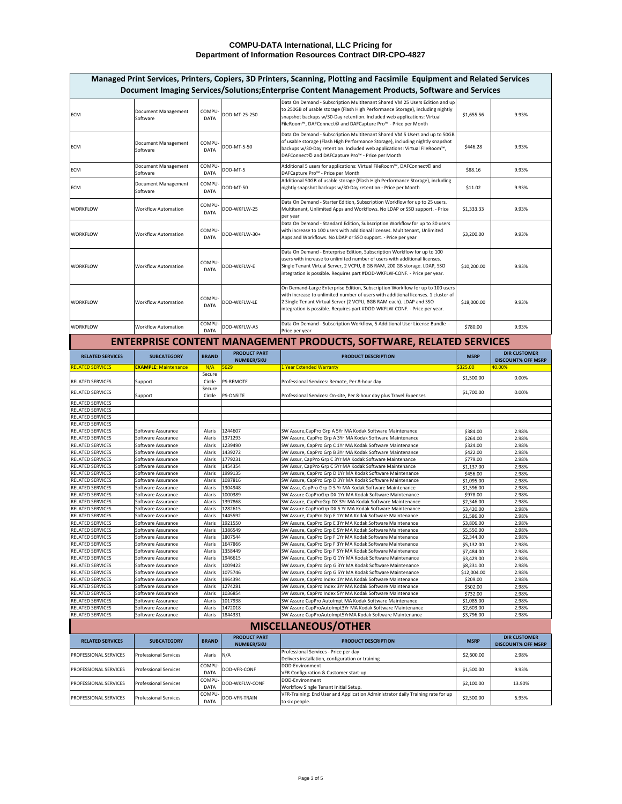|                                                              |                                                              |                         |                                          | Managed Print Services, Printers, Copiers, 3D Printers, Scanning, Plotting and Facsimile Equipment and Related Services<br>Document Imaging Services/Solutions; Enterprise Content Management Products, Software and Services                                                                                          |                          |                                                  |
|--------------------------------------------------------------|--------------------------------------------------------------|-------------------------|------------------------------------------|------------------------------------------------------------------------------------------------------------------------------------------------------------------------------------------------------------------------------------------------------------------------------------------------------------------------|--------------------------|--------------------------------------------------|
| <b>ECM</b>                                                   | Document Management<br>Software                              | COMPU-<br><b>DATA</b>   | DOD-MT-25-250                            | Data On Demand - Subscription Multitenant Shared VM 25 Users Edition and up<br>to 250GB of usable storage (Flash High Performance Storage), including nightly<br>snapshot backups w/30-Day retention. Included web applications: Virtual<br>FileRoom™, DAFConnect© and DAFCapture Pro™ - Price per Month               | \$1,655.56               | 9.93%                                            |
| <b>ECM</b>                                                   | Document Management<br>Software                              | COMPU-<br><b>DATA</b>   | DOD-MT-5-50                              | Data On Demand - Subscription Multitenant Shared VM 5 Users and up to 50GB<br>of usable storage (Flash High Performance Storage), including nightly snapshot<br>backups w/30-Day retention. Included web applications: Virtual FileRoom™,<br>DAFConnect© and DAFCapture Pro <sup>™</sup> - Price per Month             | \$446.28                 | 9.93%                                            |
| <b>ECM</b>                                                   | Document Management<br>Software                              | COMPU-<br><b>DATA</b>   | DOD-MT-5                                 | Additional 5 users for applications: Virtual FileRoom™, DAFConnect© and<br>DAFCapture Pro <sup>™</sup> - Price per Month                                                                                                                                                                                               | \$88.16                  | 9.93%                                            |
| <b>ECM</b>                                                   | Document Management<br>Software                              | COMPU-<br><b>DATA</b>   | DOD-MT-50                                | Additional 50GB of usable storage (Flash High Performance Storage), including<br>nightly snapshot backups w/30-Day retention - Price per Month                                                                                                                                                                         | \$11.02                  | 9.93%                                            |
| <b>WORKFLOW</b>                                              | <b>Workflow Automation</b>                                   | COMPU-<br><b>DATA</b>   | DOD-WKFLW-25                             | Data On Demand - Starter Edition, Subscription Workflow for up to 25 users.<br>Multitenant, Unlimited Apps and Workflows. No LDAP or SSO support. - Price<br>per year                                                                                                                                                  | \$1,333.33               | 9.93%                                            |
| <b>WORKFLOW</b>                                              | <b>Workflow Automation</b>                                   | COMPU-<br><b>DATA</b>   | DOD-WKFLW-30+                            | Data On Demand - Standard Edition, Subscription Workflow for up to 30 users<br>with increase to 100 users with additional licenses. Multitenant, Unlimited<br>Apps and Workflows. No LDAP or SSO support. - Price per year                                                                                             | \$3,200.00               | 9.93%                                            |
| <b>WORKFLOW</b>                                              | <b>Workflow Automation</b>                                   | COMPU-<br><b>DATA</b>   | DOD-WKFLW-E                              | Data On Demand - Enterprise Edition, Subscription Workflow for up to 100<br>users with increase to unlimited number of users with additional licenses.<br>Single Tenant Virtual Server, 2 VCPU, 8 GB RAM, 200 GB storage. LDAP, SSO<br>integration is possible. Requires part #DOD-WKFLW-CONF. - Price per year.       | \$10,200.00              | 9.93%                                            |
| <b>WORKFLOW</b>                                              | <b>Workflow Automation</b>                                   | COMPU-<br><b>DATA</b>   | DOD-WKFLW-LE                             | On Demand-Large Enterprise Edition, Subscription Workflow for up to 100 users<br>with increase to unlimited number of users with additional licenses. 1 cluster of<br>2 Single Tenant Virtual Server (2 VCPU, 8GB RAM each). LDAP and SSO<br>integration is possible. Requires part #DOD-WKFLW-CONF. - Price per year. | \$18,000.00              | 9.93%                                            |
| <b>WORKFLOW</b>                                              | <b>Workflow Automation</b>                                   | COMPU-<br><b>DATA</b>   | DOD-WKFLW-A5                             | Data On Demand - Subscription Workflow, 5 Additional User License Bundle -<br>Price per year                                                                                                                                                                                                                           | \$780.00                 | 9.93%                                            |
|                                                              |                                                              |                         |                                          | <b>ENTERPRISE CONTENT MANAGEMENT PRODUCTS, SOFTWARE, RELATED SERVICES</b>                                                                                                                                                                                                                                              |                          |                                                  |
| <b>RELATED SERVICES</b>                                      | <b>SUBCATEGORY</b>                                           | <b>BRAND</b>            | <b>PRODUCT PART</b><br><b>NUMBER/SKU</b> | <b>PRODUCT DESCRIPTION</b>                                                                                                                                                                                                                                                                                             | <b>MSRP</b>              | <b>DIR CUSTOMER</b><br><b>DISCOUNT% OFF MSRP</b> |
| <b>RELATED SERVICES</b>                                      | <b>EXAMPLE: Maintenance</b>                                  | N/A<br>Secure           | 5629                                     | 1 Year Extended Warranty                                                                                                                                                                                                                                                                                               | 5325.00                  | 40.00%                                           |
| <b>RELATED SERVICES</b>                                      | Support                                                      | Circle                  | <b>PS-REMOTE</b>                         | Professional Services: Remote, Per 8-hour day                                                                                                                                                                                                                                                                          | \$1,500.00               | 0.00%                                            |
| <b>RELATED SERVICES</b>                                      | Support                                                      | Secure<br>Circle        | <b>PS-ONSITE</b>                         | Professional Services: On-site, Per 8-hour day plus Travel Expenses                                                                                                                                                                                                                                                    | \$1,700.00               | 0.00%                                            |
| <b>RELATED SERVICES</b>                                      |                                                              |                         |                                          |                                                                                                                                                                                                                                                                                                                        |                          |                                                  |
| <b>RELATED SERVICES</b><br><b>RELATED SERVICES</b>           |                                                              |                         |                                          |                                                                                                                                                                                                                                                                                                                        |                          |                                                  |
| <b>RELATED SERVICES</b>                                      |                                                              |                         |                                          |                                                                                                                                                                                                                                                                                                                        |                          |                                                  |
|                                                              |                                                              | Alaris                  | 1244607                                  | SW Assure, CapPro Grp A 5Yr MA Kodak Software Maintenance                                                                                                                                                                                                                                                              | \$384.00                 | 2.98%                                            |
| <b>RELATED SERVICES</b>                                      | Software Assurance                                           |                         |                                          |                                                                                                                                                                                                                                                                                                                        |                          |                                                  |
| <b>RELATED SERVICES</b>                                      | Software Assurance                                           | Alaris<br>Alaris        | 1371293                                  | SW Assure, CapPro Grp A 3Yr MA Kodak Software Maintenance                                                                                                                                                                                                                                                              | \$264.00                 | 2.98%                                            |
| <b>RELATED SERVICES</b><br><b>RELATED SERVICES</b>           | Software Assurance<br>Software Assurance                     | Alaris                  | 1239490<br>1439272                       | SW Assure, CapPro Grp C 1Yr MA Kodak Software Maintenance<br>SW Assure, CapPro Grp B 3Yr MA Kodak Software Maintenance                                                                                                                                                                                                 | \$324.00<br>\$422.00     | 2.98%<br>2.98%                                   |
| <b>RELATED SERVICES</b>                                      | Software Assurance                                           | Alaris                  | 1779231                                  | SW Assur, CapPro Grp C 3Yr MA Kodak Software Maintenance                                                                                                                                                                                                                                                               | \$779.00                 | 2.98%                                            |
| <b>RELATED SERVICES</b>                                      | Software Assurance<br>Software Assurance                     | <b>Alaris</b><br>Alaris | 1454354                                  | SW Assur, CapPro Grp C 5Yr MA Kodak Software Maintenance                                                                                                                                                                                                                                                               | \$1,137.00               | 2.98%                                            |
| <b>RELATED SERVICES</b><br><b>RELATED SERVICES</b>           | Software Assurance                                           | Alaris                  | 1999135<br>1087816                       | SW Assure, CapPro Grp D 1Yr MA Kodak Software Maintenance<br>SW Assure, CapPro Grp D 3Yr MA Kodak Software Maintenance                                                                                                                                                                                                 | \$456.00<br>\$1,095.00   | 2.98%<br>2.98%                                   |
| <b>RELATED SERVICES</b>                                      | Software Assurance                                           | Alaris                  | 1304948                                  | SW Assu, CapPro Grp D 5 Yr MA Kodak Software Maintenance                                                                                                                                                                                                                                                               | \$1,596.00               | 2.98%                                            |
| <b>RELATED SERVICES</b><br><b>RELATED SERVICES</b>           | Software Assurance<br>Software Assurance                     | Alaris<br>Alaris        | 1000389                                  | SW Assure CapProGrp DX 1Yr MA Kodak Software Maintenance                                                                                                                                                                                                                                                               | \$978.00                 | 2.98%                                            |
| <b>RELATED SERVICES</b>                                      | Software Assurance                                           | Alaris                  | 1397868<br>1282615                       | SW Assure, CapProGrp DX 3Yr MA Kodak Software Maintenance<br>SW Assure CapProGrp DX 5 Yr MA Kodak Software Maintenance                                                                                                                                                                                                 | \$2,346.00<br>\$3,420.00 | 2.98%<br>2.98%                                   |
| <b>RELATED SERVICES</b>                                      | Software Assurance                                           | Alaris                  | 1445592                                  | SW Assure, CapPro Grp E 1Yr MA Kodak Software Maintenance                                                                                                                                                                                                                                                              | \$1,586.00               | 2.98%                                            |
| <b>RELATED SERVICES</b>                                      | Software Assurance                                           | Alaris                  | 1921550                                  | SW Assure, CapPro Grp E 3Yr MA Kodak Software Maintenance                                                                                                                                                                                                                                                              | \$3,806.00               | 2.98%                                            |
| <b>RELATED SERVICES</b><br><b>RELATED SERVICES</b>           | Software Assurance<br>Software Assurance                     | Alaris<br>Alaris        | 1386549<br>1807544                       | SW Assure, CapPro Grp E 5Yr MA Kodak Software Maintenance<br>SW Assure, CapPro Grp F 1Yr MA Kodak Software Maintenance                                                                                                                                                                                                 | \$5,550.00<br>\$2,344.00 | 2.98%<br>2.98%                                   |
| <b>RELATED SERVICES</b>                                      | Software Assurance                                           | Alaris                  | 1647866                                  | SW Assure, CapPro Grp F 3Yr MA Kodak Software Maintenance                                                                                                                                                                                                                                                              | \$5,132.00               | 2.98%                                            |
| <b>RELATED SERVICES</b><br><b>RELATED SERVICES</b>           | Software Assurance<br>Software Assurance                     | Alaris<br>Alaris        | 1358449<br>1946615                       | SW Assure, CapPro Grp F 5Yr MA Kodak Software Maintenance                                                                                                                                                                                                                                                              | \$7,484.00               | 2.98%<br>2.98%                                   |
| <b>RELATED SERVICES</b>                                      | Software Assurance                                           | Alaris                  | 1009422                                  | SW Assure, CapPro Grp G 1Yr MA Kodak Software Maintenance<br>SW Assure, CapPro Grp G 3Yr MA Kodak Software Maintenance                                                                                                                                                                                                 | \$3,429.00<br>\$8,231.00 | 2.98%                                            |
| <b>RELATED SERVICES</b>                                      | Software Assurance                                           | Alaris                  | 1075746                                  | SW Assure, CapPro Grp G 5Yr MA Kodak Software Maintenance                                                                                                                                                                                                                                                              | \$12,004.00              | 2.98%                                            |
| <b>RELATED SERVICES</b><br><b>RELATED SERVICES</b>           | Software Assurance<br>Software Assurance                     | Alaris<br>Alaris        | 1964394<br>1274281                       | SW Assure, CapPro Index 1Yr MA Kodak Software Maintenance<br>SW Assure, CapPro Index 3Yr MA Kodak Software Maintenance                                                                                                                                                                                                 | \$209.00<br>\$502.00     | 2.98%<br>2.98%                                   |
| <b>RELATED SERVICES</b>                                      | Software Assurance                                           | Alaris                  | 1036854                                  | SW Assure, CapPro Index 5Yr MA Kodak Software Maintenance                                                                                                                                                                                                                                                              | \$732.00                 | 2.98%                                            |
| <b>RELATED SERVICES</b>                                      | Software Assurance                                           | Alaris                  | 1017938                                  | SW Assure CapPro AutoImpt MA Kodak Software Maintenance                                                                                                                                                                                                                                                                | \$1,085.00               | 2.98%                                            |
| <b>RELATED SERVICES</b><br><b>RELATED SERVICES</b>           | Software Assurance<br>Software Assurance                     | Alaris<br>Alaris        | 1472018<br>1844331                       | SW Assure CapProAutoImpt3Yr MA Kodak Software Maintenance<br>SW Assure CapProAutoImpt5YrMA Kodak Software Maintenance                                                                                                                                                                                                  | \$2,603.00<br>\$3,796.00 | 2.98%<br>2.98%                                   |
|                                                              |                                                              |                         |                                          |                                                                                                                                                                                                                                                                                                                        |                          |                                                  |
|                                                              |                                                              |                         | <b>PRODUCT PART</b>                      | <b>MISCELLANEOUS/OTHER</b>                                                                                                                                                                                                                                                                                             |                          | <b>DIR CUSTOMER</b>                              |
| <b>RELATED SERVICES</b>                                      | <b>SUBCATEGORY</b>                                           | <b>BRAND</b>            | <b>NUMBER/SKU</b>                        | <b>PRODUCT DESCRIPTION</b><br>Professional Services - Price per day                                                                                                                                                                                                                                                    | <b>MSRP</b>              | <b>DISCOUNT% OFF MSRP</b>                        |
| <b>PROFESSIONAL SERVICES</b><br><b>PROFESSIONAL SERVICES</b> | <b>Professional Services</b><br><b>Professional Services</b> | Alaris N/A<br>COMPU-    | DOD-VFR-CONF                             | Delivers installation, configuration or training<br>DOD-Environment                                                                                                                                                                                                                                                    | \$2,600.00<br>\$1,500.00 | 2.98%<br>9.93%                                   |
| <b>PROFESSIONAL SERVICES</b>                                 | <b>Professional Services</b>                                 | <b>DATA</b><br>COMPU-   | DOD-WKFLW-CONF                           | VFR Configuration & Customer start-up.<br>DOD-Environment                                                                                                                                                                                                                                                              | \$2,100.00               | 13.90%                                           |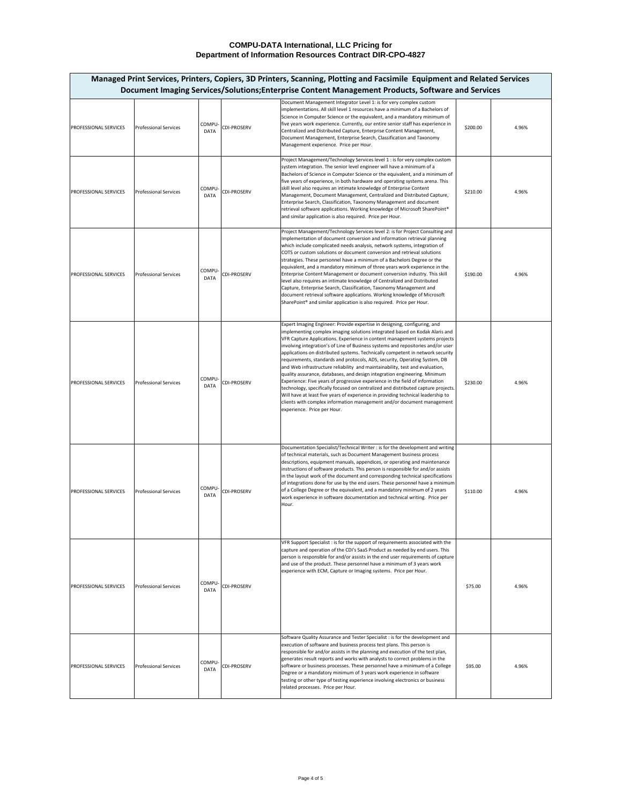| PROFESSIONAL SERVICES        | <b>Professional Services</b> | COMPU-<br><b>DATA</b> | <b>CDI-PROSERV</b> | Document Management Integrator Level 1: is for very complex custom<br>implementations. All skill level 1 resources have a minimum of a Bachelors of<br>Science in Computer Science or the equivalent, and a mandatory minimum of<br>five years work experience. Currently, our entire senior staff has experience in<br>Centralized and Distributed Capture, Enterprise Content Management,<br>Document Management, Enterprise Search, Classification and Taxonomy<br>Management experience. Price per Hour.                                                                                                                                                                                                                                                                                                                                                                                                                                                                                                               | \$200.00 | 4.96% |
|------------------------------|------------------------------|-----------------------|--------------------|----------------------------------------------------------------------------------------------------------------------------------------------------------------------------------------------------------------------------------------------------------------------------------------------------------------------------------------------------------------------------------------------------------------------------------------------------------------------------------------------------------------------------------------------------------------------------------------------------------------------------------------------------------------------------------------------------------------------------------------------------------------------------------------------------------------------------------------------------------------------------------------------------------------------------------------------------------------------------------------------------------------------------|----------|-------|
| PROFESSIONAL SERVICES        | <b>Professional Services</b> | COMPU-<br><b>DATA</b> | <b>CDI-PROSERV</b> | Project Management/Technology Services level 1 : is for very complex custom<br>system integration. The senior level engineer will have a minimum of a<br>Bachelors of Science in Computer Science or the equivalent, and a minimum of<br>five years of experience, in both hardware and operating systems arena. This<br>skill level also requires an intimate knowledge of Enterprise Content<br>Management, Document Management, Centralized and Distributed Capture,<br>Enterprise Search, Classification, Taxonomy Management and document<br>retrieval software applications. Working knowledge of Microsoft SharePoint®<br>and similar application is also required. Price per Hour.                                                                                                                                                                                                                                                                                                                                 | \$210.00 | 4.96% |
| <b>PROFESSIONAL SERVICES</b> | <b>Professional Services</b> | COMPU-<br><b>DATA</b> | <b>CDI-PROSERV</b> | Project Management/Technology Services level 2: is for Project Consulting and<br>Implementation of document conversion and information retrieval planning<br>which include complicated needs analysis, network systems, integration of<br>COTS or custom solutions or document conversion and retrieval solutions<br>strategies. These personnel have a minimum of a Bachelors Degree or the<br>equivalent, and a mandatory minimum of three years work experience in the<br>Enterprise Content Management or document conversion industry. This skill<br>level also requires an intimate knowledge of Centralized and Distributed<br>Capture, Enterprise Search, Classification, Taxonomy Management and<br>document retrieval software applications. Working knowledge of Microsoft<br>SharePoint <sup>®</sup> and similar application is also required. Price per Hour.                                                                                                                                                 | \$190.00 | 4.96% |
| <b>PROFESSIONAL SERVICES</b> | <b>Professional Services</b> | COMPU-<br><b>DATA</b> | <b>CDI-PROSERV</b> | Expert Imaging Engineer: Provide expertise in designing, configuring, and<br>implementing complex imaging solutions integrated based on Kodak Alaris and<br>VFR Capture Applications. Experience in content management systems projects<br>involving integration's of Line of Business systems and repositories and/or user<br>applications on distributed systems. Technically competent in network security<br>requirements, standards and protocols, ADS, security, Operating System, DB<br>and Web infrastructure reliability and maintainability, test and evaluation,<br>quality assurance, databases, and design integration engineering. Minimum<br>Experience: Five years of progressive experience in the field of information<br>technology, specifically focused on centralized and distributed capture projects.<br>Will have at least five years of experience in providing technical leadership to<br>clients with complex information management and/or document management<br>experience. Price per Hour. | \$230.00 | 4.96% |
| PROFESSIONAL SERVICES        | <b>Professional Services</b> | COMPU-<br><b>DATA</b> | <b>CDI-PROSERV</b> | Documentation Specialist/Technical Writer : is for the development and writing<br>of technical materials, such as Document Management business process<br>descriptions, equipment manuals, appendices, or operating and maintenance<br>instructions of software products. This person is responsible for and/or assists<br>in the layout work of the document and corresponding technical specifications<br>of integrations done for use by the end users. These personnel have a minimum<br>of a College Degree or the equivalent, and a mandatory minimum of 2 years<br>work experience in software documentation and technical writing. Price per<br>Hour.                                                                                                                                                                                                                                                                                                                                                              | \$110.00 | 4.96% |
| <b>PROFESSIONAL SERVICES</b> | <b>Professional Services</b> | COMPU-<br><b>DATA</b> | <b>CDI-PROSERV</b> | VFR Support Specialist : is for the support of requirements associated with the<br>capture and operation of the CDI's SaaS Product as needed by end users. This<br>person is responsible for and/or assists in the end user requirements of capture<br>and use of the product. These personnel have a minimum of 3 years work<br>experience with ECM, Capture or Imaging systems. Price per Hour.                                                                                                                                                                                                                                                                                                                                                                                                                                                                                                                                                                                                                          | \$75.00  | 4.96% |
| <b>PROFESSIONAL SERVICES</b> | <b>Professional Services</b> | COMPU-<br><b>DATA</b> | <b>CDI-PROSERV</b> | Software Quality Assurance and Tester Specialist : is for the development and<br>execution of software and business process test plans. This person is<br>responsible for and/or assists in the planning and execution of the test plan,<br>generates result reports and works with analysts to correct problems in the<br>software or business processes. These personnel have a minimum of a College<br>Degree or a mandatory minimum of 3 years work experience in software<br>testing or other type of testing experience involving electronics or business<br>related processes. Price per Hour.                                                                                                                                                                                                                                                                                                                                                                                                                      | \$95.00  | 4.96% |